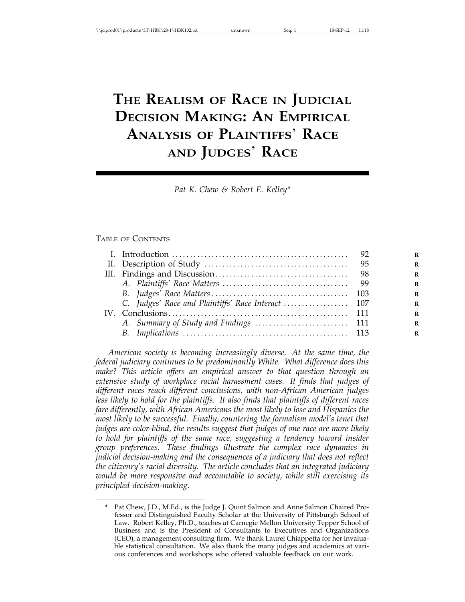# **THE REALISM OF RACE IN JUDICIAL DECISION MAKING: AN EMPIRICAL ANALYSIS OF PLAINTIFFS**' **RACE AND JUDGES**' **RACE**

*Pat K. Chew & Robert E. Kelley\**

#### TABLE OF CONTENTS

*American society is becoming increasingly diverse. At the same time, the federal judiciary continues to be predominantly White. What difference does this make? This article offers an empirical answer to that question through an extensive study of workplace racial harassment cases. It finds that judges of different races reach different conclusions, with non-African American judges less likely to hold for the plaintiffs. It also finds that plaintiffs of different races fare differently, with African Americans the most likely to lose and Hispanics the most likely to be successful. Finally, countering the formalism model's tenet that judges are color-blind, the results suggest that judges of one race are more likely to hold for plaintiffs of the same race, suggesting a tendency toward insider group preferences. These findings illustrate the complex race dynamics in judicial decision-making and the consequences of a judiciary that does not reflect the citizenry's racial diversity. The article concludes that an integrated judiciary would be more responsive and accountable to society, while still exercising its principled decision-making.*

<sup>\*</sup> Pat Chew, J.D., M.Ed., is the Judge J. Quint Salmon and Anne Salmon Chaired Professor and Distinguished Faculty Scholar at the University of Pittsburgh School of Law. Robert Kelley, Ph.D., teaches at Carnegie Mellon University Tepper School of Business and is the President of Consultants to Executives and Organizations (CEO), a management consulting firm. We thank Laurel Chiappetta for her invaluable statistical consultation. We also thank the many judges and academics at various conferences and workshops who offered valuable feedback on our work.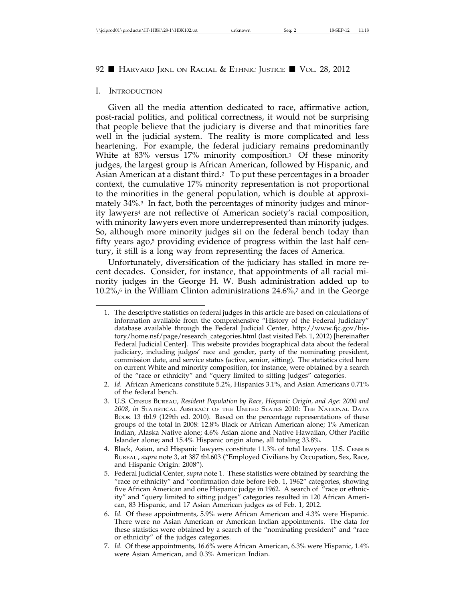### I. INTRODUCTION

Given all the media attention dedicated to race, affirmative action, post-racial politics, and political correctness, it would not be surprising that people believe that the judiciary is diverse and that minorities fare well in the judicial system. The reality is more complicated and less heartening. For example, the federal judiciary remains predominantly White at 83% versus 17% minority composition.<sup>1</sup> Of these minority judges, the largest group is African American, followed by Hispanic, and Asian American at a distant third.2 To put these percentages in a broader context, the cumulative 17% minority representation is not proportional to the minorities in the general population, which is double at approximately 34%.3 In fact, both the percentages of minority judges and minority lawyers4 are not reflective of American society's racial composition, with minority lawyers even more underrepresented than minority judges. So, although more minority judges sit on the federal bench today than fifty years ago, $5$  providing evidence of progress within the last half century, it still is a long way from representing the faces of America.

Unfortunately, diversification of the judiciary has stalled in more recent decades. Consider, for instance, that appointments of all racial minority judges in the George H. W. Bush administration added up to  $10.2\%$ , in the William Clinton administrations 24.6%,7 and in the George

2. *Id.* African Americans constitute 5.2%, Hispanics 3.1%, and Asian Americans 0.71% of the federal bench.

- 4. Black, Asian, and Hispanic lawyers constitute 11.3% of total lawyers. U.S. CENSUS BUREAU, *supra* note 3, at 387 tbl.603 ("Employed Civilians by Occupation, Sex, Race, and Hispanic Origin: 2008").
- 5. Federal Judicial Center, *supra* note 1. These statistics were obtained by searching the "race or ethnicity" and "confirmation date before Feb. 1, 1962" categories, showing five African American and one Hispanic judge in 1962. A search of "race or ethnicity" and "query limited to sitting judges" categories resulted in 120 African American, 83 Hispanic, and 17 Asian American judges as of Feb. 1, 2012.
- 6. *Id.* Of these appointments, 5.9% were African American and 4.3% were Hispanic. There were no Asian American or American Indian appointments. The data for these statistics were obtained by a search of the "nominating president" and "race or ethnicity" of the judges categories.
- 7. *Id.* Of these appointments, 16.6% were African American, 6.3% were Hispanic, 1.4% were Asian American, and 0.3% American Indian.

<sup>1.</sup> The descriptive statistics on federal judges in this article are based on calculations of information available from the comprehensive "History of the Federal Judiciary" database available through the Federal Judicial Center, http://www.fjc.gov/history/home.nsf/page/research\_categories.html (last visited Feb. 1, 2012) [hereinafter Federal Judicial Center]. This website provides biographical data about the federal judiciary, including judges' race and gender, party of the nominating president, commission date, and service status (active, senior, sitting). The statistics cited here on current White and minority composition, for instance, were obtained by a search of the "race or ethnicity" and "query limited to sitting judges" categories.

<sup>3.</sup> U.S. CENSUS BUREAU, *Resident Population by Race, Hispanic Origin, and Age: 2000 and 2008*, *in* STATISTICAL ABSTRACT OF THE UNITED STATES 2010: THE NATIONAL DATA BOOK 13 tbl.9 (129th ed. 2010). Based on the percentage representations of these groups of the total in 2008: 12.8% Black or African American alone; 1% American Indian, Alaska Native alone; 4.6% Asian alone and Native Hawaiian, Other Pacific Islander alone; and 15.4% Hispanic origin alone, all totaling 33.8%.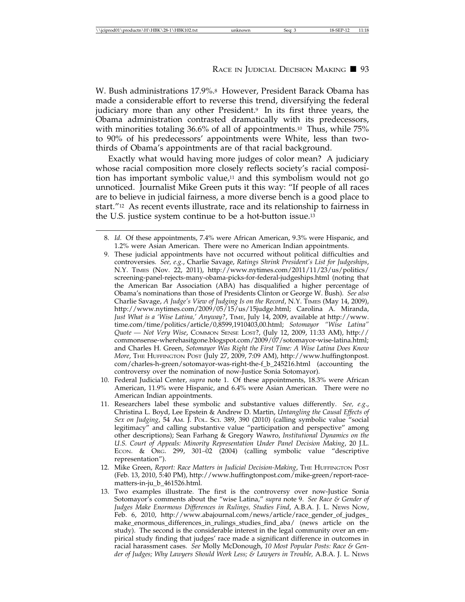W. Bush administrations 17.9%.<sup>8</sup> However, President Barack Obama has made a considerable effort to reverse this trend, diversifying the federal judiciary more than any other President.<sup>9</sup> In its first three years, the Obama administration contrasted dramatically with its predecessors, with minorities totaling 36.6% of all of appointments.<sup>10</sup> Thus, while 75% to 90% of his predecessors' appointments were White, less than twothirds of Obama's appointments are of that racial background.

Exactly what would having more judges of color mean? A judiciary whose racial composition more closely reflects society's racial composition has important symbolic value,11 and this symbolism would not go unnoticed. Journalist Mike Green puts it this way: "If people of all races are to believe in judicial fairness, a more diverse bench is a good place to start."12 As recent events illustrate, race and its relationship to fairness in the U.S. justice system continue to be a hot-button issue.13

- 10. Federal Judicial Center, *supra* note 1. Of these appointments, 18.3% were African American, 11.9% were Hispanic, and 6.4% were Asian American. There were no American Indian appointments.
- 11. Researchers label these symbolic and substantive values differently. *See, e.g*., Christina L. Boyd, Lee Epstein & Andrew D. Martin, *Untangling the Causal Effects of Sex on Judging*, 54 AM. J. POL. SCI. 389, 390 (2010) (calling symbolic value "social legitimacy" and calling substantive value "participation and perspective" among other descriptions); Sean Farhang & Gregory Wawro, *Institutional Dynamics on the U.S. Court of Appeals: Minority Representation Under Panel Decision Making*, 20 J.L. ECON. & ORG. 299, 301–02 (2004) (calling symbolic value "descriptive representation").
- 12. Mike Green, *Report: Race Matters in Judicial Decision-Making*, THE HUFFINGTON POST (Feb. 13, 2010, 5:40 PM), http://www.huffingtonpost.com/mike-green/report-racematters-in-ju\_b\_461526.html.
- 13. Two examples illustrate. The first is the controversy over now-Justice Sonia Sotomayor's comments about the "wise Latina," *supra* note 9. *See Race & Gender of Judges Make Enormous Differences in Rulings, Studies Find*, A.B.A. J. L. NEWS NOW, Feb. 6, 2010, http://www.abajournal.com/news/article/race\_gender\_of\_judges\_ make\_enormous\_differences\_in\_rulings\_studies\_find\_aba/ (news article on the study). The second is the considerable interest in the legal community over an empirical study finding that judges' race made a significant difference in outcomes in racial harassment cases. *See* Molly McDonough, *10 Most Popular Posts: Race & Gender of Judges; Why Lawyers Should Work Less; & Lawyers in Trouble,* A.B.A. J. L. NEWS

<sup>8.</sup> *Id.* Of these appointments, 7.4% were African American, 9.3% were Hispanic, and 1.2% were Asian American. There were no American Indian appointments.

<sup>9.</sup> These judicial appointments have not occurred without political difficulties and controversies. *See, e.g.*, Charlie Savage, *Ratings Shrink President's List for Judgeships*, N.Y. TIMES (Nov. 22, 2011), http://www.nytimes.com/2011/11/23/us/politics/ screening-panel-rejects-many-obama-picks-for-federal-judgeships.html (noting that the American Bar Association (ABA) has disqualified a higher percentage of Obama's nominations than those of Presidents Clinton or George W. Bush). *See also* Charlie Savage, *A Judge's View of Judging Is on the Record*, N.Y. TIMES (May 14, 2009), http://www.nytimes.com/2009/05/15/us/15judge.html; Carolina A. Miranda, *Just What is a 'Wise Latina,' Anyway?*, TIME, July 14, 2009, available at http://www. time.com/time/politics/article/0,8599,1910403,00.html; *Sotomayor "Wise Latina" Quote* — *Not Very Wise*, COMMON SENSE LOST?, (July 12, 2009, 11:33 AM), http:// commonsense-wherehasitgone.blogspot.com/2009/07/sotomayor-wise-latina.html; and Charles H. Green, *Sotomayor Was Right the First Time: A Wise Latina Does Know More*, THE HUFFINGTON POST (July 27, 2009, 7:09 AM), http://www.huffingtonpost. com/charles-h-green/sotomayor-was-right-the-f\_b\_245216.html (accounting the controversy over the nomination of now-Justice Sonia Sotomayor).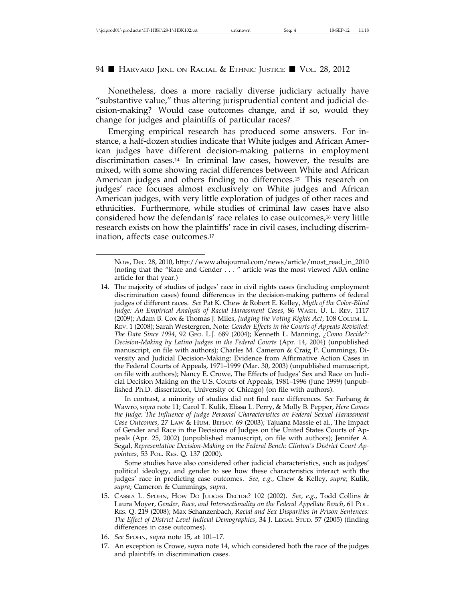Nonetheless, does a more racially diverse judiciary actually have "substantive value," thus altering jurisprudential content and judicial decision-making? Would case outcomes change, and if so, would they change for judges and plaintiffs of particular races?

Emerging empirical research has produced some answers. For instance, a half-dozen studies indicate that White judges and African American judges have different decision-making patterns in employment discrimination cases.14 In criminal law cases, however, the results are mixed, with some showing racial differences between White and African American judges and others finding no differences.15 This research on judges' race focuses almost exclusively on White judges and African American judges, with very little exploration of judges of other races and ethnicities. Furthermore, while studies of criminal law cases have also considered how the defendants' race relates to case outcomes,16 very little research exists on how the plaintiffs' race in civil cases, including discrimination, affects case outcomes.17

In contrast, a minority of studies did not find race differences. *See* Farhang & Wawro, *supra* note 11; Carol T. Kulik, Elissa L. Perry, & Molly B. Pepper, *Here Comes the Judge: The Influence of Judge Personal Characteristics on Federal Sexual Harassment Case Outcomes*, 27 LAW & HUM. BEHAV. 69 (2003); Tajuana Massie et al., The Impact of Gender and Race in the Decisions of Judges on the United States Courts of Appeal*s* (Apr. 25, 2002) (unpublished manuscript, on file with authors); Jennifer A. Segal, *Representative Decision-Making on the Federal Bench: Clinton's District Court Appointees*, 53 POL. RES. Q. 137 (2000).

Some studies have also considered other judicial characteristics, such as judges' political ideology, and gender to see how these characteristics interact with the judges' race in predicting case outcomes. *See, e.g.*, Chew & Kelley, *supra*; Kulik, *supra*; Cameron & Cummings, *supra*.

- 15. CASSIA L. SPOHN, HOW DO JUDGES DECIDE? 102 (2002). *See, e.g.*, Todd Collins & Laura Moyer, *Gender, Race, and Intersectionality on the Federal Appellate Bench*, 61 POL. RES. Q. 219 (2008); Max Schanzenbach, *Racial and Sex Disparities in Prison Sentences: The Effect of District Level Judicial Demographics*, 34 J. LEGAL STUD. 57 (2005) (finding differences in case outcomes).
- 16. *See* SPOHN, *supra* note 15, at 101–17.
- 17. An exception is Crowe, *supra* note 14, which considered both the race of the judges and plaintiffs in discrimination cases.

NOW, Dec. 28, 2010, http://www.abajournal.com/news/article/most\_read\_in\_2010 (noting that the "Race and Gender . . . " article was the most viewed ABA online article for that year.)

<sup>14.</sup> The majority of studies of judges' race in civil rights cases (including employment discrimination cases) found differences in the decision-making patterns of federal judges of different races. *See* Pat K. Chew & Robert E. Kelley, *Myth of the Color-Blind Judge: An Empirical Analysis of Racial Harassment Cases*, 86 WASH. U. L. REV. 1117 (2009); Adam B. Cox & Thomas J. Miles, *Judging the Voting Rights Act*, 108 COLUM. L. REV. 1 (2008); Sarah Westergren, Note: *Gender Effects in the Courts of Appeals Revisited: The Data Since 1994*, 92 GEO. L.J. 689 (2004); Kenneth L. Manning, *¿Como Decide?: Decision-Making by Latino Judges in the Federal Courts* (Apr. 14, 2004) (unpublished manuscript, on file with authors); Charles M. Cameron & Craig P. Cummings, Diversity and Judicial Decision-Making: Evidence from Affirmative Action Cases in the Federal Courts of Appeals, 1971–1999 (Mar. 30, 2003) (unpublished manuscript, on file with authors); Nancy E. Crowe, The Effects of Judges' Sex and Race on Judicial Decision Making on the U.S. Courts of Appeals, 1981–1996 (June 1999) (unpublished Ph.D. dissertation, University of Chicago) (on file with authors).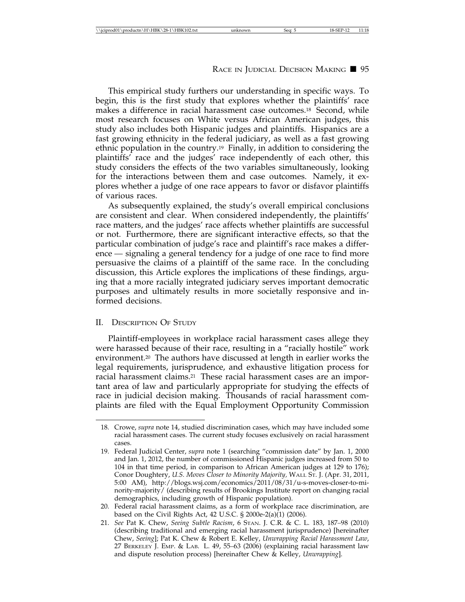This empirical study furthers our understanding in specific ways. To begin, this is the first study that explores whether the plaintiffs' race makes a difference in racial harassment case outcomes.<sup>18</sup> Second, while most research focuses on White versus African American judges, this study also includes both Hispanic judges and plaintiffs. Hispanics are a fast growing ethnicity in the federal judiciary, as well as a fast growing ethnic population in the country.19 Finally, in addition to considering the plaintiffs' race and the judges' race independently of each other, this study considers the effects of the two variables simultaneously, looking for the interactions between them and case outcomes. Namely, it explores whether a judge of one race appears to favor or disfavor plaintiffs of various races.

As subsequently explained, the study's overall empirical conclusions are consistent and clear. When considered independently, the plaintiffs' race matters, and the judges' race affects whether plaintiffs are successful or not. Furthermore, there are significant interactive effects, so that the particular combination of judge's race and plaintiff's race makes a difference — signaling a general tendency for a judge of one race to find more persuasive the claims of a plaintiff of the same race. In the concluding discussion, this Article explores the implications of these findings, arguing that a more racially integrated judiciary serves important democratic purposes and ultimately results in more societally responsive and informed decisions.

# II. DESCRIPTION OF STUDY

Plaintiff-employees in workplace racial harassment cases allege they were harassed because of their race, resulting in a "racially hostile" work environment.20 The authors have discussed at length in earlier works the legal requirements, jurisprudence, and exhaustive litigation process for racial harassment claims.21 These racial harassment cases are an important area of law and particularly appropriate for studying the effects of race in judicial decision making. Thousands of racial harassment complaints are filed with the Equal Employment Opportunity Commission

<sup>18.</sup> Crowe, *supra* note 14, studied discrimination cases, which may have included some racial harassment cases. The current study focuses exclusively on racial harassment cases.

<sup>19.</sup> Federal Judicial Center, *supra* note 1 (searching "commission date" by Jan. 1, 2000 and Jan. 1, 2012, the number of commissioned Hispanic judges increased from 50 to 104 in that time period, in comparison to African American judges at 129 to 176); Conor Doughtery, *U.S. Moves Closer to Minority Majority,* WALL ST. J. (Apr. 31, 2011, 5:00 AM), http://blogs.wsj.com/economics/2011/08/31/u-s-moves-closer-to-minority-majority/ (describing results of Brookings Institute report on changing racial demographics, including growth of Hispanic population).

<sup>20.</sup> Federal racial harassment claims, as a form of workplace race discrimination, are based on the Civil Rights Act, 42 U.S.C. § 2000e-2(a)(1) (2006).

<sup>21.</sup> *See* Pat K. Chew, *Seeing Subtle Racism*, 6 STAN. J. C.R. & C. L. 183, 187–98 (2010) (describing traditional and emerging racial harassment jurisprudence) [hereinafter Chew, *Seeing*]; Pat K. Chew & Robert E. Kelley, *Unwrapping Racial Harassment Law*, 27 BERKELEY J. EMP. & LAB. L. 49, 55–63 (2006) (explaining racial harassment law and dispute resolution process) [hereinafter Chew & Kelley, *Unwrapping*].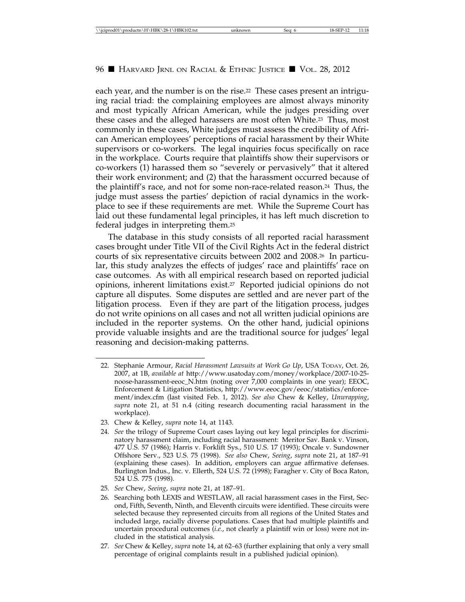each year, and the number is on the rise.<sup>22</sup> These cases present an intriguing racial triad: the complaining employees are almost always minority and most typically African American, while the judges presiding over these cases and the alleged harassers are most often White.23 Thus, most commonly in these cases, White judges must assess the credibility of African American employees' perceptions of racial harassment by their White supervisors or co-workers. The legal inquiries focus specifically on race in the workplace. Courts require that plaintiffs show their supervisors or co-workers (1) harassed them so "severely or pervasively" that it altered their work environment; and (2) that the harassment occurred because of the plaintiff's race, and not for some non-race-related reason.24 Thus, the judge must assess the parties' depiction of racial dynamics in the workplace to see if these requirements are met. While the Supreme Court has laid out these fundamental legal principles, it has left much discretion to federal judges in interpreting them.25

The database in this study consists of all reported racial harassment cases brought under Title VII of the Civil Rights Act in the federal district courts of six representative circuits between 2002 and 2008.26 In particular, this study analyzes the effects of judges' race and plaintiffs' race on case outcomes. As with all empirical research based on reported judicial opinions, inherent limitations exist.27 Reported judicial opinions do not capture all disputes. Some disputes are settled and are never part of the litigation process. Even if they are part of the litigation process, judges do not write opinions on all cases and not all written judicial opinions are included in the reporter systems. On the other hand, judicial opinions provide valuable insights and are the traditional source for judges' legal reasoning and decision-making patterns.

<sup>22.</sup> Stephanie Armour, *Racial Harassment Lawsuits at Work Go Up*, USA TODAY, Oct. 26, 2007, at 1B, *available at* http://www.usatoday.com/money/workplace/2007-10-25 noose-harassment-eeoc\_N.htm (noting over 7,000 complaints in one year); EEOC, Enforcement & Litigation Statistics, http://www.eeoc.gov/eeoc/statistics/enforcement/index.cfm (last visited Feb. 1, 2012). *See also* Chew & Kelley, *Unwrapping*, *supra* note 21, at 51 n.4 (citing research documenting racial harassment in the workplace).

<sup>23.</sup> Chew & Kelley, *supra* note 14, at 1143.

<sup>24.</sup> *See* the trilogy of Supreme Court cases laying out key legal principles for discriminatory harassment claim, including racial harassment: Meritor Sav. Bank v. Vinson, 477 U.S. 57 (1986); Harris v. Forklift Sys., 510 U.S. 17 (1993); Oncale v. Sundowner Offshore Serv., 523 U.S. 75 (1998). *See also* Chew, *Seeing*, *supra* note 21, at 187–91 (explaining these cases). In addition, employers can argue affirmative defenses. Burlington Indus., Inc. v. Ellerth, 524 U.S. 72 (1998); Faragher v. City of Boca Raton, 524 U.S. 775 (1998).

<sup>25.</sup> *See* Chew, *Seeing*, *supra* note 21, at 187–91.

<sup>26.</sup> Searching both LEXIS and WESTLAW, all racial harassment cases in the First, Second, Fifth, Seventh, Ninth, and Eleventh circuits were identified. These circuits were selected because they represented circuits from all regions of the United States and included large, racially diverse populations. Cases that had multiple plaintiffs and uncertain procedural outcomes *(i.e.*, not clearly a plaintiff win or loss) were not included in the statistical analysis.

<sup>27.</sup> *See* Chew & Kelley, *supra* note 14, at 62–63 (further explaining that only a very small percentage of original complaints result in a published judicial opinion).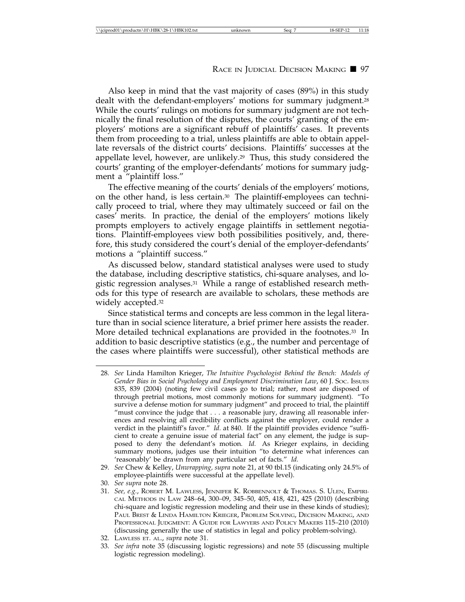Also keep in mind that the vast majority of cases (89%) in this study dealt with the defendant-employers' motions for summary judgment.28 While the courts' rulings on motions for summary judgment are not technically the final resolution of the disputes, the courts' granting of the employers' motions are a significant rebuff of plaintiffs' cases. It prevents them from proceeding to a trial, unless plaintiffs are able to obtain appellate reversals of the district courts' decisions. Plaintiffs' successes at the appellate level, however, are unlikely.29 Thus, this study considered the courts' granting of the employer-defendants' motions for summary judgment a "plaintiff loss."

The effective meaning of the courts' denials of the employers' motions, on the other hand, is less certain.30 The plaintiff-employees can technically proceed to trial, where they may ultimately succeed or fail on the cases' merits. In practice, the denial of the employers' motions likely prompts employers to actively engage plaintiffs in settlement negotiations. Plaintiff-employees view both possibilities positively, and, therefore, this study considered the court's denial of the employer-defendants' motions a "plaintiff success."

As discussed below, standard statistical analyses were used to study the database, including descriptive statistics, chi-square analyses, and logistic regression analyses.31 While a range of established research methods for this type of research are available to scholars, these methods are widely accepted.<sup>32</sup>

Since statistical terms and concepts are less common in the legal literature than in social science literature, a brief primer here assists the reader. More detailed technical explanations are provided in the footnotes.33 In addition to basic descriptive statistics (e.g., the number and percentage of the cases where plaintiffs were successful), other statistical methods are

<sup>28.</sup> *See* Linda Hamilton Krieger, *The Intuitive Psychologist Behind the Bench: Models of Gender Bias in Social Psychology and Employment Discrimination Law*, 60 J. SOC. ISSUES 835, 839 (2004) (noting few civil cases go to trial; rather, most are disposed of through pretrial motions, most commonly motions for summary judgment). "To survive a defense motion for summary judgment" and proceed to trial, the plaintiff "must convince the judge that  $\dots$  a reasonable jury, drawing all reasonable inferences and resolving all credibility conflicts against the employer, could render a verdict in the plaintiff's favor." *Id.* at 840. If the plaintiff provides evidence "sufficient to create a genuine issue of material fact" on any element, the judge is supposed to deny the defendant's motion*. Id.* As Krieger explains, in deciding summary motions, judges use their intuition "to determine what inferences can 'reasonably' be drawn from any particular set of facts." *Id.*

<sup>29.</sup> *See* Chew & Kelley, *Unwrapping, supra* note 21, at 90 tbl.15 (indicating only 24.5% of employee-plaintiffs were successful at the appellate level).

<sup>30.</sup> *See supra* note 28.

<sup>31.</sup> *See, e.g.*, ROBERT M. LAWLESS, JENNIFER K. ROBBENNOLT & THOMAS. S. ULEN, EMPIRI-CAL METHODS IN LAW 248–64, 300–09, 345–50, 405, 418, 421, 425 (2010) (describing chi-square and logistic regression modeling and their use in these kinds of studies); PAUL BREST & LINDA HAMILTON KRIEGER, PROBLEM SOLVING, DECISION MAKING, AND PROFESSIONAL JUDGMENT: A GUIDE FOR LAWYERS AND POLICY MAKERS 115–210 (2010) (discussing generally the use of statistics in legal and policy problem-solving).

<sup>32.</sup> LAWLESS ET. AL., *supra* note 31.

<sup>33.</sup> *See infra* note 35 (discussing logistic regressions) and note 55 (discussing multiple logistic regression modeling).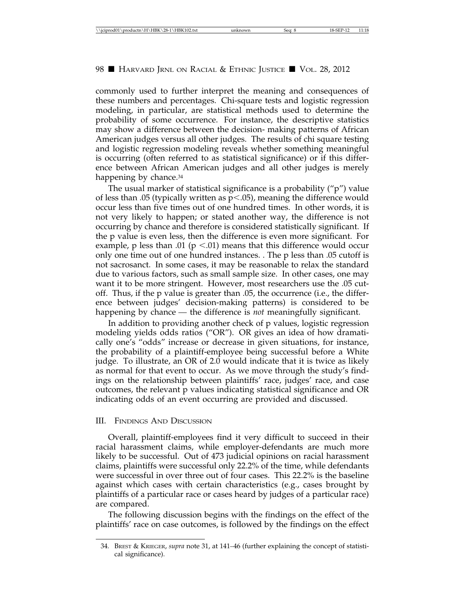commonly used to further interpret the meaning and consequences of these numbers and percentages. Chi-square tests and logistic regression modeling, in particular, are statistical methods used to determine the probability of some occurrence. For instance, the descriptive statistics may show a difference between the decision- making patterns of African American judges versus all other judges. The results of chi square testing and logistic regression modeling reveals whether something meaningful is occurring (often referred to as statistical significance) or if this difference between African American judges and all other judges is merely happening by chance.<sup>34</sup>

The usual marker of statistical significance is a probability ("p") value of less than .05 (typically written as  $p < .05$ ), meaning the difference would occur less than five times out of one hundred times. In other words, it is not very likely to happen; or stated another way, the difference is not occurring by chance and therefore is considered statistically significant. If the p value is even less, then the difference is even more significant. For example, p less than .01 ( $p \le 0.01$ ) means that this difference would occur only one time out of one hundred instances. . The p less than .05 cutoff is not sacrosanct. In some cases, it may be reasonable to relax the standard due to various factors, such as small sample size. In other cases, one may want it to be more stringent. However, most researchers use the .05 cutoff. Thus, if the p value is greater than .05, the occurrence (i.e., the difference between judges' decision-making patterns) is considered to be happening by chance — the difference is *not* meaningfully significant.

In addition to providing another check of p values, logistic regression modeling yields odds ratios ("OR"). OR gives an idea of how dramatically one's "odds" increase or decrease in given situations, for instance, the probability of a plaintiff-employee being successful before a White judge. To illustrate, an OR of 2.0 would indicate that it is twice as likely as normal for that event to occur. As we move through the study's findings on the relationship between plaintiffs' race, judges' race, and case outcomes, the relevant p values indicating statistical significance and OR indicating odds of an event occurring are provided and discussed.

### III. FINDINGS AND DISCUSSION

Overall, plaintiff-employees find it very difficult to succeed in their racial harassment claims, while employer-defendants are much more likely to be successful. Out of 473 judicial opinions on racial harassment claims, plaintiffs were successful only 22.2% of the time, while defendants were successful in over three out of four cases. This 22.2% is the baseline against which cases with certain characteristics (e.g., cases brought by plaintiffs of a particular race or cases heard by judges of a particular race) are compared.

The following discussion begins with the findings on the effect of the plaintiffs' race on case outcomes, is followed by the findings on the effect

<sup>34.</sup> BREST & KRIEGER, *supra* note 31, at 141–46 (further explaining the concept of statistical significance).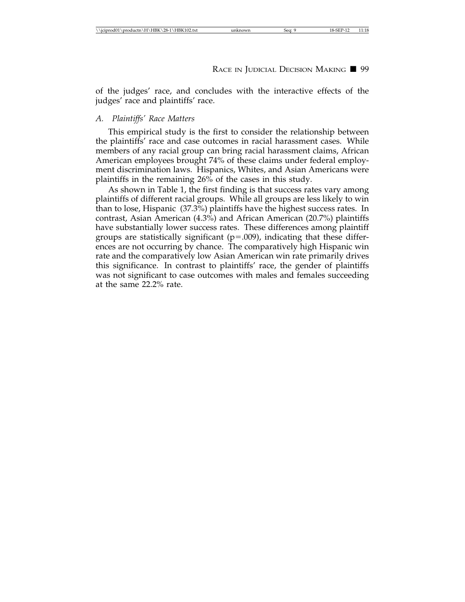of the judges' race, and concludes with the interactive effects of the judges' race and plaintiffs' race.

## *A. Plaintiffs' Race Matters*

This empirical study is the first to consider the relationship between the plaintiffs' race and case outcomes in racial harassment cases. While members of any racial group can bring racial harassment claims, African American employees brought 74% of these claims under federal employment discrimination laws. Hispanics, Whites, and Asian Americans were plaintiffs in the remaining 26% of the cases in this study.

As shown in Table 1, the first finding is that success rates vary among plaintiffs of different racial groups. While all groups are less likely to win than to lose, Hispanic (37.3%) plaintiffs have the highest success rates. In contrast, Asian American (4.3%) and African American (20.7%) plaintiffs have substantially lower success rates. These differences among plaintiff groups are statistically significant  $(p=.009)$ , indicating that these differences are not occurring by chance. The comparatively high Hispanic win rate and the comparatively low Asian American win rate primarily drives this significance. In contrast to plaintiffs' race, the gender of plaintiffs was not significant to case outcomes with males and females succeeding at the same 22.2% rate.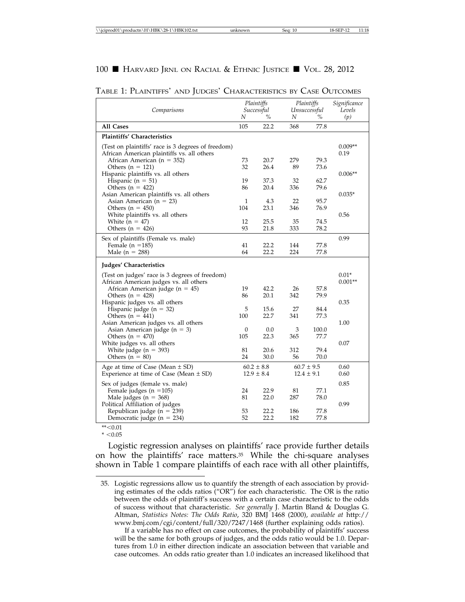|                                                                                                                                                                                                                                                                                                                                                                                                                                                                                                                                                                                                                                                                                                                                         | Plaintiffs                                                           |                                                                                                                                          | Plaintiffs                                                                          |                                                                                                                                          | Significance                                 |
|-----------------------------------------------------------------------------------------------------------------------------------------------------------------------------------------------------------------------------------------------------------------------------------------------------------------------------------------------------------------------------------------------------------------------------------------------------------------------------------------------------------------------------------------------------------------------------------------------------------------------------------------------------------------------------------------------------------------------------------------|----------------------------------------------------------------------|------------------------------------------------------------------------------------------------------------------------------------------|-------------------------------------------------------------------------------------|------------------------------------------------------------------------------------------------------------------------------------------|----------------------------------------------|
| Comparisons                                                                                                                                                                                                                                                                                                                                                                                                                                                                                                                                                                                                                                                                                                                             | N                                                                    | Successful<br>%                                                                                                                          | N                                                                                   | Unsuccessful<br>$\%$                                                                                                                     | Levels                                       |
|                                                                                                                                                                                                                                                                                                                                                                                                                                                                                                                                                                                                                                                                                                                                         |                                                                      |                                                                                                                                          |                                                                                     |                                                                                                                                          | (p)                                          |
| All Cases                                                                                                                                                                                                                                                                                                                                                                                                                                                                                                                                                                                                                                                                                                                               | 105                                                                  | 22.2                                                                                                                                     | 368                                                                                 | 77.8                                                                                                                                     |                                              |
| <b>Plaintiffs' Characteristics</b>                                                                                                                                                                                                                                                                                                                                                                                                                                                                                                                                                                                                                                                                                                      |                                                                      |                                                                                                                                          |                                                                                     |                                                                                                                                          |                                              |
| (Test on plaintiffs' race is 3 degrees of freedom)                                                                                                                                                                                                                                                                                                                                                                                                                                                                                                                                                                                                                                                                                      |                                                                      |                                                                                                                                          |                                                                                     |                                                                                                                                          | $0.009**$                                    |
| African American plaintiffs vs. all others                                                                                                                                                                                                                                                                                                                                                                                                                                                                                                                                                                                                                                                                                              |                                                                      |                                                                                                                                          |                                                                                     |                                                                                                                                          | 0.19                                         |
| African American ( $n = 352$ )                                                                                                                                                                                                                                                                                                                                                                                                                                                                                                                                                                                                                                                                                                          | 73                                                                   | 20.7                                                                                                                                     | 279                                                                                 | 79.3                                                                                                                                     |                                              |
| Others $(n = 121)$                                                                                                                                                                                                                                                                                                                                                                                                                                                                                                                                                                                                                                                                                                                      | 32                                                                   | 26.4                                                                                                                                     | 89                                                                                  | 73.6                                                                                                                                     | $0.006**$                                    |
| Hispanic plaintiffs vs. all others<br>Hispanic ( $n = 51$ )                                                                                                                                                                                                                                                                                                                                                                                                                                                                                                                                                                                                                                                                             | 19                                                                   | 37.3                                                                                                                                     | 32                                                                                  | 62.7                                                                                                                                     |                                              |
| Others ( $n = 422$ )                                                                                                                                                                                                                                                                                                                                                                                                                                                                                                                                                                                                                                                                                                                    | 86                                                                   | 20.4                                                                                                                                     | 336                                                                                 | 79.6                                                                                                                                     |                                              |
| Asian American plaintiffs vs. all others                                                                                                                                                                                                                                                                                                                                                                                                                                                                                                                                                                                                                                                                                                |                                                                      |                                                                                                                                          |                                                                                     |                                                                                                                                          | $0.035*$                                     |
| Asian American ( $n = 23$ )                                                                                                                                                                                                                                                                                                                                                                                                                                                                                                                                                                                                                                                                                                             | $\mathbf{1}$                                                         | 4.3                                                                                                                                      | 22                                                                                  | 95.7                                                                                                                                     |                                              |
| Others $(n = 450)$                                                                                                                                                                                                                                                                                                                                                                                                                                                                                                                                                                                                                                                                                                                      | 104                                                                  | 23.1                                                                                                                                     | 346                                                                                 | 76.9                                                                                                                                     |                                              |
|                                                                                                                                                                                                                                                                                                                                                                                                                                                                                                                                                                                                                                                                                                                                         |                                                                      |                                                                                                                                          |                                                                                     |                                                                                                                                          |                                              |
|                                                                                                                                                                                                                                                                                                                                                                                                                                                                                                                                                                                                                                                                                                                                         |                                                                      |                                                                                                                                          |                                                                                     |                                                                                                                                          |                                              |
|                                                                                                                                                                                                                                                                                                                                                                                                                                                                                                                                                                                                                                                                                                                                         |                                                                      |                                                                                                                                          |                                                                                     |                                                                                                                                          |                                              |
|                                                                                                                                                                                                                                                                                                                                                                                                                                                                                                                                                                                                                                                                                                                                         |                                                                      |                                                                                                                                          |                                                                                     |                                                                                                                                          |                                              |
|                                                                                                                                                                                                                                                                                                                                                                                                                                                                                                                                                                                                                                                                                                                                         |                                                                      |                                                                                                                                          |                                                                                     |                                                                                                                                          |                                              |
|                                                                                                                                                                                                                                                                                                                                                                                                                                                                                                                                                                                                                                                                                                                                         |                                                                      |                                                                                                                                          |                                                                                     |                                                                                                                                          |                                              |
| Judges' Characteristics                                                                                                                                                                                                                                                                                                                                                                                                                                                                                                                                                                                                                                                                                                                 |                                                                      |                                                                                                                                          |                                                                                     |                                                                                                                                          |                                              |
| (Test on judges' race is 3 degrees of freedom)                                                                                                                                                                                                                                                                                                                                                                                                                                                                                                                                                                                                                                                                                          |                                                                      |                                                                                                                                          |                                                                                     |                                                                                                                                          | $0.01*$                                      |
| African American judges vs. all others                                                                                                                                                                                                                                                                                                                                                                                                                                                                                                                                                                                                                                                                                                  |                                                                      |                                                                                                                                          |                                                                                     |                                                                                                                                          | $0.001**$                                    |
|                                                                                                                                                                                                                                                                                                                                                                                                                                                                                                                                                                                                                                                                                                                                         |                                                                      |                                                                                                                                          |                                                                                     |                                                                                                                                          |                                              |
|                                                                                                                                                                                                                                                                                                                                                                                                                                                                                                                                                                                                                                                                                                                                         |                                                                      |                                                                                                                                          |                                                                                     |                                                                                                                                          |                                              |
|                                                                                                                                                                                                                                                                                                                                                                                                                                                                                                                                                                                                                                                                                                                                         |                                                                      |                                                                                                                                          |                                                                                     |                                                                                                                                          |                                              |
|                                                                                                                                                                                                                                                                                                                                                                                                                                                                                                                                                                                                                                                                                                                                         |                                                                      |                                                                                                                                          |                                                                                     |                                                                                                                                          |                                              |
|                                                                                                                                                                                                                                                                                                                                                                                                                                                                                                                                                                                                                                                                                                                                         |                                                                      |                                                                                                                                          |                                                                                     |                                                                                                                                          | 1.00                                         |
|                                                                                                                                                                                                                                                                                                                                                                                                                                                                                                                                                                                                                                                                                                                                         | $\theta$                                                             | 0.0                                                                                                                                      | 3                                                                                   | 100.0                                                                                                                                    |                                              |
| Others $(n = 470)$                                                                                                                                                                                                                                                                                                                                                                                                                                                                                                                                                                                                                                                                                                                      | 105                                                                  | 22.3                                                                                                                                     | 365                                                                                 | 77.7                                                                                                                                     |                                              |
|                                                                                                                                                                                                                                                                                                                                                                                                                                                                                                                                                                                                                                                                                                                                         |                                                                      |                                                                                                                                          |                                                                                     |                                                                                                                                          |                                              |
|                                                                                                                                                                                                                                                                                                                                                                                                                                                                                                                                                                                                                                                                                                                                         |                                                                      |                                                                                                                                          |                                                                                     |                                                                                                                                          |                                              |
|                                                                                                                                                                                                                                                                                                                                                                                                                                                                                                                                                                                                                                                                                                                                         |                                                                      |                                                                                                                                          |                                                                                     |                                                                                                                                          |                                              |
|                                                                                                                                                                                                                                                                                                                                                                                                                                                                                                                                                                                                                                                                                                                                         |                                                                      |                                                                                                                                          |                                                                                     |                                                                                                                                          | 0.60                                         |
|                                                                                                                                                                                                                                                                                                                                                                                                                                                                                                                                                                                                                                                                                                                                         |                                                                      |                                                                                                                                          |                                                                                     |                                                                                                                                          |                                              |
| Sex of judges (female vs. male)                                                                                                                                                                                                                                                                                                                                                                                                                                                                                                                                                                                                                                                                                                         |                                                                      |                                                                                                                                          |                                                                                     |                                                                                                                                          | 0.85                                         |
|                                                                                                                                                                                                                                                                                                                                                                                                                                                                                                                                                                                                                                                                                                                                         | 24                                                                   |                                                                                                                                          | 81                                                                                  | 77.1                                                                                                                                     |                                              |
|                                                                                                                                                                                                                                                                                                                                                                                                                                                                                                                                                                                                                                                                                                                                         |                                                                      |                                                                                                                                          |                                                                                     |                                                                                                                                          |                                              |
|                                                                                                                                                                                                                                                                                                                                                                                                                                                                                                                                                                                                                                                                                                                                         |                                                                      |                                                                                                                                          |                                                                                     |                                                                                                                                          |                                              |
|                                                                                                                                                                                                                                                                                                                                                                                                                                                                                                                                                                                                                                                                                                                                         | 52                                                                   | 22.2                                                                                                                                     |                                                                                     |                                                                                                                                          |                                              |
| White plaintiffs vs. all others<br>White $(n = 47)$<br>Others ( $n = 426$ )<br>Sex of plaintiffs (Female vs. male)<br>Female ( $n = 185$ )<br>Male ( $n = 288$ )<br>African American judge ( $n = 45$ )<br>Others $(n = 428)$<br>Hispanic judges vs. all others<br>Hispanic judge ( $n = 32$ )<br>Others $(n = 441)$<br>Asian American judges vs. all others<br>Asian American judge $(n = 3)$<br>White judges vs. all others<br>White judge ( $n = 393$ )<br>Others $(n = 80)$<br>Age at time of Case (Mean $\pm$ SD)<br>Experience at time of Case (Mean $\pm$ SD)<br>Female judges ( $n = 105$ )<br>Male judges ( $n = 368$ )<br>Political Affiliation of judges<br>Republican judge ( $n = 239$ )<br>Democratic judge ( $n = 234$ ) | 12<br>93<br>41<br>64<br>19<br>86<br>5<br>100<br>81<br>24<br>81<br>53 | 25.5<br>21.8<br>22.2<br>22.2<br>42.2<br>20.1<br>15.6<br>22.7<br>20.6<br>30.0<br>$60.2 \pm 8.8$<br>$12.9 \pm 8.4$<br>22.9<br>22.0<br>22.2 | 35<br>333<br>144<br>224<br>26<br>342<br>27<br>341<br>312<br>56<br>287<br>186<br>182 | 74.5<br>78.2<br>77.8<br>77.8<br>57.8<br>79.9<br>84.4<br>77.3<br>79.4<br>70.0<br>$60.7 \pm 9.5$<br>$12.4 \pm 9.1$<br>78.0<br>77.8<br>77.8 | 0.56<br>0.99<br>0.35<br>0.07<br>0.60<br>0.99 |

TABLE 1: PLAINTIFFS' AND JUDGES' CHARACTERISTICS BY CASE OUTCOMES

 $*$   $< 0.01$ 

 $* < 0.05$ 

Logistic regression analyses on plaintiffs' race provide further details on how the plaintiffs' race matters.35 While the chi-square analyses shown in Table 1 compare plaintiffs of each race with all other plaintiffs,

If a variable has no effect on case outcomes, the probability of plaintiffs' success will be the same for both groups of judges, and the odds ratio would be 1.0. Departures from 1.0 in either direction indicate an association between that variable and case outcomes. An odds ratio greater than 1.0 indicates an increased likelihood that

<sup>35.</sup> Logistic regressions allow us to quantify the strength of each association by providing estimates of the odds ratios ("OR") for each characteristic. The OR is the ratio between the odds of plaintiff's success with a certain case characteristic to the odds of success without that characteristic. *See generally* J. Martin Bland & Douglas G. Altman, *Statistics Notes: The Odds Ratio*, 320 BMJ 1468 (2000), *available at* http:// www.bmj.com/cgi/content/full/320/7247/1468 (further explaining odds ratios).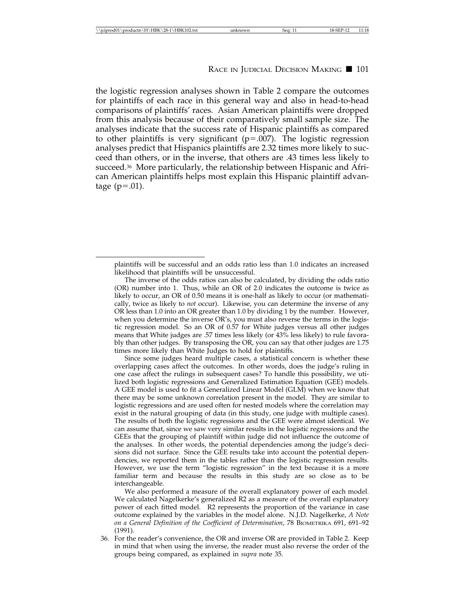the logistic regression analyses shown in Table 2 compare the outcomes for plaintiffs of each race in this general way and also in head-to-head comparisons of plaintiffs' races. Asian American plaintiffs were dropped from this analysis because of their comparatively small sample size. The analyses indicate that the success rate of Hispanic plaintiffs as compared to other plaintiffs is very significant ( $p = .007$ ). The logistic regression analyses predict that Hispanics plaintiffs are 2.32 times more likely to succeed than others, or in the inverse, that others are .43 times less likely to succeed.36 More particularly, the relationship between Hispanic and African American plaintiffs helps most explain this Hispanic plaintiff advantage  $(p=.01)$ .

Since some judges heard multiple cases, a statistical concern is whether these overlapping cases affect the outcomes. In other words, does the judge's ruling in one case affect the rulings in subsequent cases? To handle this possibility, we utilized both logistic regressions and Generalized Estimation Equation (GEE) models. A GEE model is used to fit a Generalized Linear Model (GLM) when we know that there may be some unknown correlation present in the model. They are similar to logistic regressions and are used often for nested models where the correlation may exist in the natural grouping of data (in this study, one judge with multiple cases). The results of both the logistic regressions and the GEE were almost identical. We can assume that, since we saw very similar results in the logistic regressions and the GEEs that the grouping of plaintiff within judge did not influence the outcome of the analyses. In other words, the potential dependencies among the judge's decisions did not surface. Since the GEE results take into account the potential dependencies, we reported them in the tables rather than the logistic regression results. However, we use the term "logistic regression" in the text because it is a more familiar term and because the results in this study are so close as to be interchangeable.

We also performed a measure of the overall explanatory power of each model. We calculated Nagelkerke's generalized R2 as a measure of the overall explanatory power of each fitted model. R2 represents the proportion of the variance in case outcome explained by the variables in the model alone. N.J.D. Nagelkerke, *A Note on a General Definition of the Coefficient of Determination*, 78 BIOMETRIKA 691, 691–92 (1991).

36. For the reader's convenience, the OR and inverse OR are provided in Table 2. Keep in mind that when using the inverse, the reader must also reverse the order of the groups being compared, as explained in *supra* note 35.

plaintiffs will be successful and an odds ratio less than 1.0 indicates an increased likelihood that plaintiffs will be unsuccessful.

The inverse of the odds ratios can also be calculated, by dividing the odds ratio (OR) number into 1. Thus, while an OR of 2.0 indicates the outcome is twice as likely to occur, an OR of 0.50 means it is one-half as likely to occur (or mathematically, twice as likely to *not* occur). Likewise, you can determine the inverse of any OR less than 1.0 into an OR greater than 1.0 by dividing 1 by the number. However, when you determine the inverse OR's, you must also reverse the terms in the logistic regression model. So an OR of 0.57 for White judges versus all other judges means that White judges are .57 times less likely (or 43% less likely) to rule favorably than other judges. By transposing the OR, you can say that other judges are 1.75 times more likely than White Judges to hold for plaintiffs.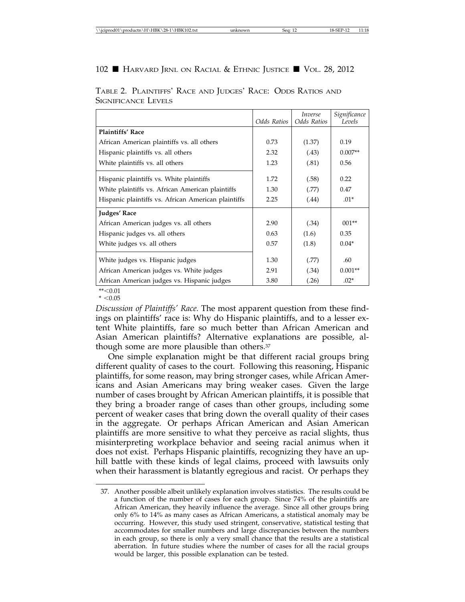|                                                     | Odds Ratios | <i>Inverse</i><br>Odds Ratios | Significance<br>Levels |
|-----------------------------------------------------|-------------|-------------------------------|------------------------|
| <b>Plaintiffs' Race</b>                             |             |                               |                        |
| African American plaintiffs vs. all others          | 0.73        | (1.37)                        | 0.19                   |
| Hispanic plaintiffs vs. all others                  | 2.32        | (.43)                         | $0.007**$              |
| White plaintiffs vs. all others                     | 1.23        | (.81)                         | 0.56                   |
| Hispanic plaintiffs vs. White plaintiffs            | 1.72        | (.58)                         | 0.22                   |
| White plaintiffs vs. African American plaintiffs    | 1.30        | (.77)                         | 0.47                   |
| Hispanic plaintiffs vs. African American plaintiffs | 2.25        | (.44)                         | $.01*$                 |
| Judges' Race                                        |             |                               |                        |
| African American judges vs. all others              | 2.90        | (.34)                         | $001**$                |
| Hispanic judges vs. all others                      | 0.63        | (1.6)                         | 0.35                   |
| White judges vs. all others                         | 0.57        | (1.8)                         | $0.04*$                |
| White judges vs. Hispanic judges                    | 1.30        | (.77)                         | .60                    |
| African American judges vs. White judges            | 2.91        | (.34)                         | $0.001**$              |
| African American judges vs. Hispanic judges         | 3.80        | (.26)                         | $.02*$                 |

TABLE 2. PLAINTIFFS' RACE AND JUDGES' RACE: ODDS RATIOS AND SIGNIFICANCE LEVELS

\*\*<0.01  $* < 0.05$ 

*Discussion of Plaintiffs' Race.* The most apparent question from these findings on plaintiffs' race is: Why do Hispanic plaintiffs, and to a lesser extent White plaintiffs, fare so much better than African American and Asian American plaintiffs? Alternative explanations are possible, although some are more plausible than others.37

One simple explanation might be that different racial groups bring different quality of cases to the court. Following this reasoning, Hispanic plaintiffs, for some reason, may bring stronger cases, while African Americans and Asian Americans may bring weaker cases. Given the large number of cases brought by African American plaintiffs, it is possible that they bring a broader range of cases than other groups, including some percent of weaker cases that bring down the overall quality of their cases in the aggregate. Or perhaps African American and Asian American plaintiffs are more sensitive to what they perceive as racial slights, thus misinterpreting workplace behavior and seeing racial animus when it does not exist. Perhaps Hispanic plaintiffs, recognizing they have an uphill battle with these kinds of legal claims, proceed with lawsuits only when their harassment is blatantly egregious and racist. Or perhaps they

<sup>37.</sup> Another possible albeit unlikely explanation involves statistics. The results could be a function of the number of cases for each group. Since 74% of the plaintiffs are African American, they heavily influence the average. Since all other groups bring only 6% to 14% as many cases as African Americans, a statistical anomaly may be occurring. However, this study used stringent, conservative, statistical testing that accommodates for smaller numbers and large discrepancies between the numbers in each group, so there is only a very small chance that the results are a statistical aberration. In future studies where the number of cases for all the racial groups would be larger, this possible explanation can be tested.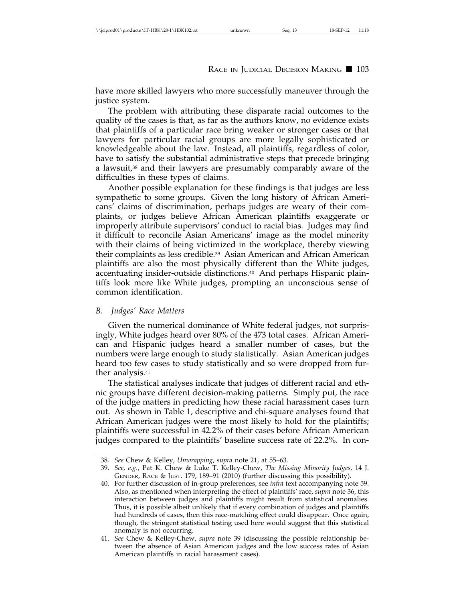have more skilled lawyers who more successfully maneuver through the justice system.

The problem with attributing these disparate racial outcomes to the quality of the cases is that, as far as the authors know, no evidence exists that plaintiffs of a particular race bring weaker or stronger cases or that lawyers for particular racial groups are more legally sophisticated or knowledgeable about the law. Instead, all plaintiffs, regardless of color, have to satisfy the substantial administrative steps that precede bringing a lawsuit,38 and their lawyers are presumably comparably aware of the difficulties in these types of claims.

Another possible explanation for these findings is that judges are less sympathetic to some groups. Given the long history of African Americans' claims of discrimination, perhaps judges are weary of their complaints, or judges believe African American plaintiffs exaggerate or improperly attribute supervisors' conduct to racial bias. Judges may find it difficult to reconcile Asian Americans' image as the model minority with their claims of being victimized in the workplace, thereby viewing their complaints as less credible.39 Asian American and African American plaintiffs are also the most physically different than the White judges, accentuating insider-outside distinctions.40 And perhaps Hispanic plaintiffs look more like White judges, prompting an unconscious sense of common identification.

### *B. Judges' Race Matters*

Given the numerical dominance of White federal judges, not surprisingly, White judges heard over 80% of the 473 total cases. African American and Hispanic judges heard a smaller number of cases, but the numbers were large enough to study statistically. Asian American judges heard too few cases to study statistically and so were dropped from further analysis.41

The statistical analyses indicate that judges of different racial and ethnic groups have different decision-making patterns. Simply put, the race of the judge matters in predicting how these racial harassment cases turn out. As shown in Table 1, descriptive and chi-square analyses found that African American judges were the most likely to hold for the plaintiffs; plaintiffs were successful in 42.2% of their cases before African American judges compared to the plaintiffs' baseline success rate of 22.2%. In con-

<sup>38.</sup> *See* Chew & Kelley, *Unwrapping*, *supra* note 21, at 55–63.

<sup>39.</sup> *See, e.g.*, Pat K. Chew & Luke T. Kelley-Chew, *The Missing Minority Judges,* 14 J. GENDER, RACE & JUST. 179, 189–91 (2010) (further discussing this possibility).

<sup>40.</sup> For further discussion of in-group preferences, see *infra* text accompanying note 59. Also, as mentioned when interpreting the effect of plaintiffs' race, *supra* note 36, this interaction between judges and plaintiffs might result from statistical anomalies. Thus, it is possible albeit unlikely that if every combination of judges and plaintiffs had hundreds of cases, then this race-matching effect could disappear. Once again, though, the stringent statistical testing used here would suggest that this statistical anomaly is not occurring.

<sup>41.</sup> *See* Chew & Kelley-Chew, *supra* note 39 (discussing the possible relationship between the absence of Asian American judges and the low success rates of Asian American plaintiffs in racial harassment cases).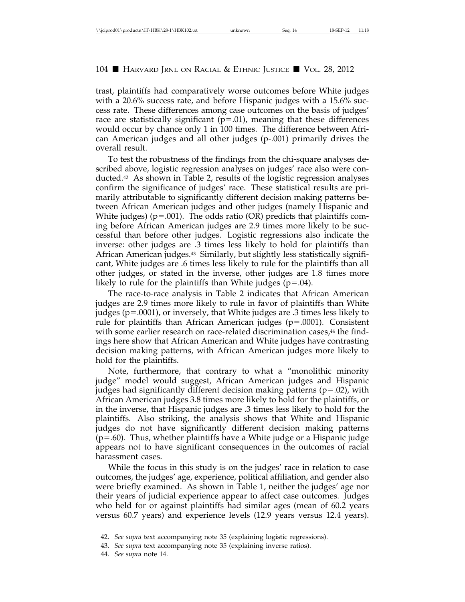trast, plaintiffs had comparatively worse outcomes before White judges with a 20.6% success rate, and before Hispanic judges with a 15.6% success rate. These differences among case outcomes on the basis of judges' race are statistically significant  $(p=01)$ , meaning that these differences would occur by chance only 1 in 100 times. The difference between African American judges and all other judges (p-.001) primarily drives the overall result.

To test the robustness of the findings from the chi-square analyses described above, logistic regression analyses on judges' race also were conducted.42 As shown in Table 2, results of the logistic regression analyses confirm the significance of judges' race. These statistical results are primarily attributable to significantly different decision making patterns between African American judges and other judges (namely Hispanic and White judges) ( $p = .001$ ). The odds ratio (OR) predicts that plaintiffs coming before African American judges are 2.9 times more likely to be successful than before other judges. Logistic regressions also indicate the inverse: other judges are .3 times less likely to hold for plaintiffs than African American judges.43 Similarly, but slightly less statistically significant, White judges are .6 times less likely to rule for the plaintiffs than all other judges, or stated in the inverse, other judges are 1.8 times more likely to rule for the plaintiffs than White judges  $(p=.04)$ .

The race-to-race analysis in Table 2 indicates that African American judges are 2.9 times more likely to rule in favor of plaintiffs than White judges ( $p = .0001$ ), or inversely, that White judges are  $\overline{.3}$  times less likely to rule for plaintiffs than African American judges (p=.0001). Consistent with some earlier research on race-related discrimination cases,<sup>44</sup> the findings here show that African American and White judges have contrasting decision making patterns, with African American judges more likely to hold for the plaintiffs.

Note, furthermore, that contrary to what a "monolithic minority judge" model would suggest, African American judges and Hispanic judges had significantly different decision making patterns ( $p=.02$ ), with African American judges 3.8 times more likely to hold for the plaintiffs, or in the inverse, that Hispanic judges are .3 times less likely to hold for the plaintiffs. Also striking, the analysis shows that White and Hispanic judges do not have significantly different decision making patterns  $(p=.60)$ . Thus, whether plaintiffs have a White judge or a Hispanic judge appears not to have significant consequences in the outcomes of racial harassment cases.

While the focus in this study is on the judges' race in relation to case outcomes, the judges' age, experience, political affiliation, and gender also were briefly examined. As shown in Table 1, neither the judges' age nor their years of judicial experience appear to affect case outcomes. Judges who held for or against plaintiffs had similar ages (mean of 60.2 years versus 60.7 years) and experience levels (12.9 years versus 12.4 years).

<sup>42.</sup> *See supra* text accompanying note 35 (explaining logistic regressions).

<sup>43.</sup> *See supra* text accompanying note 35 (explaining inverse ratios).

<sup>44.</sup> *See supra* note 14.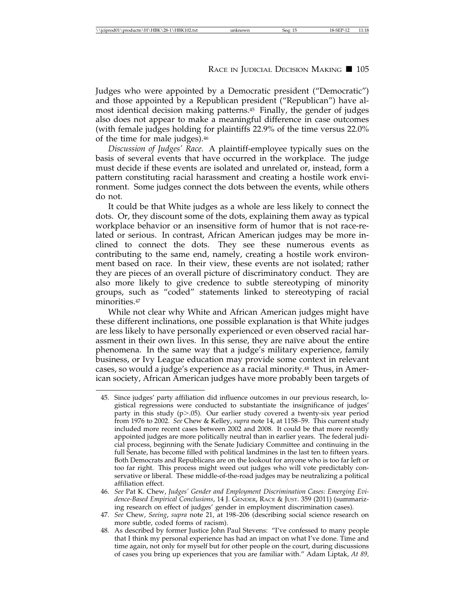Judges who were appointed by a Democratic president ("Democratic") and those appointed by a Republican president ("Republican") have almost identical decision making patterns.45 Finally, the gender of judges also does not appear to make a meaningful difference in case outcomes (with female judges holding for plaintiffs 22.9% of the time versus 22.0% of the time for male judges).46

*Discussion of Judges' Race.* A plaintiff-employee typically sues on the basis of several events that have occurred in the workplace. The judge must decide if these events are isolated and unrelated or, instead, form a pattern constituting racial harassment and creating a hostile work environment. Some judges connect the dots between the events, while others do not.

It could be that White judges as a whole are less likely to connect the dots. Or, they discount some of the dots, explaining them away as typical workplace behavior or an insensitive form of humor that is not race-related or serious. In contrast, African American judges may be more inclined to connect the dots. They see these numerous events as contributing to the same end, namely, creating a hostile work environment based on race. In their view, these events are not isolated; rather they are pieces of an overall picture of discriminatory conduct. They are also more likely to give credence to subtle stereotyping of minority groups, such as "coded" statements linked to stereotyping of racial minorities.47

While not clear why White and African American judges might have these different inclinations, one possible explanation is that White judges are less likely to have personally experienced or even observed racial harassment in their own lives. In this sense, they are naïve about the entire phenomena. In the same way that a judge's military experience, family business, or Ivy League education may provide some context in relevant cases, so would a judge's experience as a racial minority.48 Thus, in American society, African American judges have more probably been targets of

<sup>45.</sup> Since judges' party affiliation did influence outcomes in our previous research, logistical regressions were conducted to substantiate the insignificance of judges' party in this study (p>.05). Our earlier study covered a twenty-six year period from 1976 to 2002. *See* Chew & Kelley, *supra* note 14, at 1158–59. This current study included more recent cases between 2002 and 2008. It could be that more recently appointed judges are more politically neutral than in earlier years. The federal judicial process, beginning with the Senate Judiciary Committee and continuing in the full Senate, has become filled with political landmines in the last ten to fifteen years. Both Democrats and Republicans are on the lookout for anyone who is too far left or too far right. This process might weed out judges who will vote predictably conservative or liberal. These middle-of-the-road judges may be neutralizing a political affiliation effect.

<sup>46.</sup> *See* Pat K. Chew, *Judges' Gender and Employment Discrimination Cases: Emerging Evidence-Based Empirical Conclusions*, 14 J. GENDER, RACE & JUST. 359 (2011) (summarizing research on effect of judges' gender in employment discrimination cases).

<sup>47.</sup> *See* Chew, *Seeing*, *supra* note 21, at 198–206 (describing social science research on more subtle, coded forms of racism).

<sup>48.</sup> As described by former Justice John Paul Stevens: "I've confessed to many people that I think my personal experience has had an impact on what I've done. Time and time again, not only for myself but for other people on the court, during discussions of cases you bring up experiences that you are familiar with." Adam Liptak, *At 89,*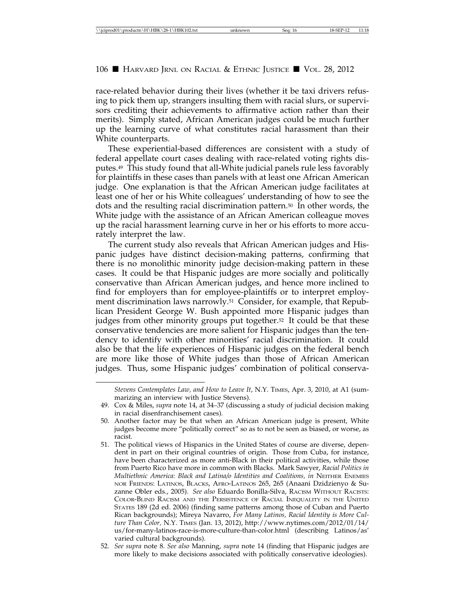race-related behavior during their lives (whether it be taxi drivers refusing to pick them up, strangers insulting them with racial slurs, or supervisors crediting their achievements to affirmative action rather than their merits). Simply stated, African American judges could be much further up the learning curve of what constitutes racial harassment than their White counterparts.

These experiential-based differences are consistent with a study of federal appellate court cases dealing with race-related voting rights disputes.49 This study found that all-White judicial panels rule less favorably for plaintiffs in these cases than panels with at least one African American judge. One explanation is that the African American judge facilitates at least one of her or his White colleagues' understanding of how to see the dots and the resulting racial discrimination pattern.50 In other words, the White judge with the assistance of an African American colleague moves up the racial harassment learning curve in her or his efforts to more accurately interpret the law.

The current study also reveals that African American judges and Hispanic judges have distinct decision-making patterns, confirming that there is no monolithic minority judge decision-making pattern in these cases. It could be that Hispanic judges are more socially and politically conservative than African American judges, and hence more inclined to find for employers than for employee-plaintiffs or to interpret employment discrimination laws narrowly.51 Consider, for example, that Republican President George W. Bush appointed more Hispanic judges than judges from other minority groups put together.<sup>52</sup> It could be that these conservative tendencies are more salient for Hispanic judges than the tendency to identify with other minorities' racial discrimination. It could also be that the life experiences of Hispanic judges on the federal bench are more like those of White judges than those of African American judges. Thus, some Hispanic judges' combination of political conserva-

*Stevens Contemplates Law, and How to Leave It*, N.Y. TIMES, Apr. 3, 2010, at A1 (summarizing an interview with Justice Stevens).

<sup>49.</sup> Cox & Miles, *supra* note 14, at 34–37 (discussing a study of judicial decision making in racial disenfranchisement cases).

<sup>50.</sup> Another factor may be that when an African American judge is present, White judges become more "politically correct" so as to not be seen as biased, or worse, as racist.

<sup>51.</sup> The political views of Hispanics in the United States of course are diverse, dependent in part on their original countries of origin. Those from Cuba, for instance, have been characterized as more anti-Black in their political activities, while those from Puerto Rico have more in common with Blacks. Mark Sawyer, *Racial Politics in Multiethnic America: Black and Latina/o Identities and Coalitions, in NEITHER ENEMIES* NOR FRIENDS: LATINOS, BLACKS, AFRO-LATINOS 265, 265 (Anaani Dzidzienyo & Suzanne Obler eds., 2005). *See also* Eduardo Bonilla-Silva, RACISM WITHOUT RACISTS: COLOR-BLIND RACISM AND THE PERSISTENCE OF RACIAL INEQUALITY IN THE UNITED STATES 189 (2d ed. 2006) (finding same patterns among those of Cuban and Puerto Rican backgrounds); Mireya Navarro, *For Many Latinos, Racial Identity is More Culture Than Color,* N.Y. TIMES (Jan. 13, 2012), http://www.nytimes.com/2012/01/14/ us/for-many-latinos-race-is-more-culture-than-color.html (describing Latinos/as' varied cultural backgrounds).

<sup>52.</sup> *See supra* note 8. *See also* Manning, *supra* note 14 (finding that Hispanic judges are more likely to make decisions associated with politically conservative ideologies).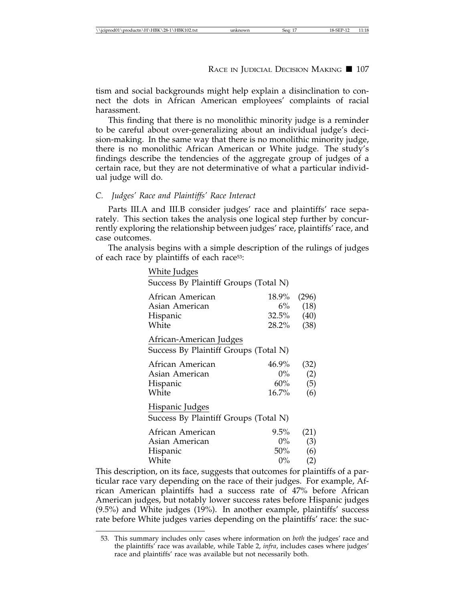tism and social backgrounds might help explain a disinclination to connect the dots in African American employees' complaints of racial harassment.

This finding that there is no monolithic minority judge is a reminder to be careful about over-generalizing about an individual judge's decision-making. In the same way that there is no monolithic minority judge, there is no monolithic African American or White judge. The study's findings describe the tendencies of the aggregate group of judges of a certain race, but they are not determinative of what a particular individual judge will do.

### *C. Judges' Race and Plaintiffs' Race Interact*

Parts III.A and III.B consider judges' race and plaintiffs' race separately. This section takes the analysis one logical step further by concurrently exploring the relationship between judges' race, plaintiffs' race, and case outcomes.

The analysis begins with a simple description of the rulings of judges of each race by plaintiffs of each race53:

| White Judges                                                     |                                   |                               |
|------------------------------------------------------------------|-----------------------------------|-------------------------------|
| Success By Plaintiff Groups (Total N)                            |                                   |                               |
| African American<br>Asian American<br>Hispanic<br>White          | 18.9%<br>$6\%$<br>32.5%<br>28.2%  | (296)<br>(18)<br>(40)<br>(38) |
| African-American Judges<br>Success By Plaintiff Groups (Total N) |                                   |                               |
| African American<br>Asian American<br>Hispanic<br>White          | 46.9%<br>$0\%$<br>$60\%$<br>16.7% | (32)<br>(2)<br>(5)<br>(6)     |
| Hispanic Judges<br>Success By Plaintiff Groups (Total N)         |                                   |                               |
| African American<br>Asian American<br>Hispanic                   | $9.5\%$<br>$0\%$<br>50%           | (21)<br>(3)<br>(6)            |

This description, on its face, suggests that outcomes for plaintiffs of a particular race vary depending on the race of their judges. For example, African American plaintiffs had a success rate of 47% before African American judges, but notably lower success rates before Hispanic judges (9.5%) and White judges (19%). In another example, plaintiffs' success rate before White judges varies depending on the plaintiffs' race: the suc-

White  $0\%$  (2)

<sup>53.</sup> This summary includes only cases where information on *both* the judges' race and the plaintiffs' race was available, while Table 2, *infra*, includes cases where judges' race and plaintiffs' race was available but not necessarily both.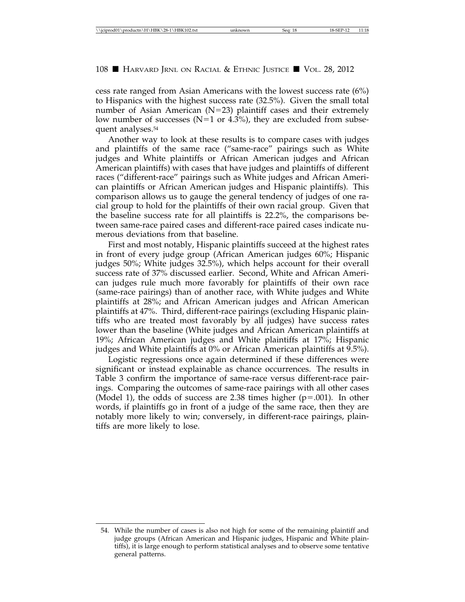cess rate ranged from Asian Americans with the lowest success rate (6%) to Hispanics with the highest success rate (32.5%). Given the small total number of Asian American (N=23) plaintiff cases and their extremely low number of successes ( $N=1$  or 4.3%), they are excluded from subsequent analyses.54

Another way to look at these results is to compare cases with judges and plaintiffs of the same race ("same-race" pairings such as White judges and White plaintiffs or African American judges and African American plaintiffs) with cases that have judges and plaintiffs of different races ("different-race" pairings such as White judges and African American plaintiffs or African American judges and Hispanic plaintiffs). This comparison allows us to gauge the general tendency of judges of one racial group to hold for the plaintiffs of their own racial group. Given that the baseline success rate for all plaintiffs is 22.2%, the comparisons between same-race paired cases and different-race paired cases indicate numerous deviations from that baseline.

First and most notably, Hispanic plaintiffs succeed at the highest rates in front of every judge group (African American judges 60%; Hispanic judges 50%; White judges 32.5%), which helps account for their overall success rate of 37% discussed earlier. Second, White and African American judges rule much more favorably for plaintiffs of their own race (same-race pairings) than of another race, with White judges and White plaintiffs at 28%; and African American judges and African American plaintiffs at 47%. Third, different-race pairings (excluding Hispanic plaintiffs who are treated most favorably by all judges) have success rates lower than the baseline (White judges and African American plaintiffs at 19%; African American judges and White plaintiffs at 17%; Hispanic judges and White plaintiffs at 0% or African American plaintiffs at 9.5%).

Logistic regressions once again determined if these differences were significant or instead explainable as chance occurrences. The results in Table 3 confirm the importance of same-race versus different-race pairings. Comparing the outcomes of same-race pairings with all other cases (Model 1), the odds of success are 2.38 times higher ( $p=0.001$ ). In other words, if plaintiffs go in front of a judge of the same race, then they are notably more likely to win; conversely, in different-race pairings, plaintiffs are more likely to lose.

<sup>54.</sup> While the number of cases is also not high for some of the remaining plaintiff and judge groups (African American and Hispanic judges, Hispanic and White plaintiffs), it is large enough to perform statistical analyses and to observe some tentative general patterns.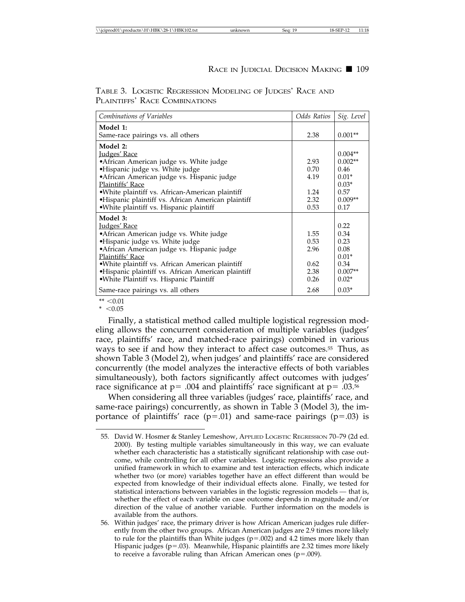| Combinations of Variables                                                                                                                                                                                                                                                                                                           | Odds Ratios                                  | Sig. Level                                                              |
|-------------------------------------------------------------------------------------------------------------------------------------------------------------------------------------------------------------------------------------------------------------------------------------------------------------------------------------|----------------------------------------------|-------------------------------------------------------------------------|
| Model 1:<br>Same-race pairings vs. all others                                                                                                                                                                                                                                                                                       | 2.38                                         | $0.001**$                                                               |
| Model 2:<br>Judges' Race<br>• African American judge vs. White judge<br>•Hispanic judge vs. White judge<br>• African American judge vs. Hispanic judge<br>Plaintiffs' Race                                                                                                                                                          | 2.93<br>0.70<br>4.19                         | $0.004**$<br>$0.002**$<br>0.46<br>$0.01*$<br>$0.03*$                    |
| .White plaintiff vs. African-American plaintiff<br>·Hispanic plaintiff vs. African American plaintiff<br>·White plaintiff vs. Hispanic plaintiff                                                                                                                                                                                    | 1.24<br>2.32<br>0.53                         | 0.57<br>$0.009**$<br>0.17                                               |
| Model 3:<br><u>Judges' Race</u><br>•African American judge vs. White judge<br>•Hispanic judge vs. White judge<br>•African American judge vs. Hispanic judge<br>Plaintiffs' Race<br>•White plaintiff vs. African American plaintiff<br>·Hispanic plaintiff vs. African American plaintiff<br>·White Plaintiff vs. Hispanic Plaintiff | 1.55<br>0.53<br>2.96<br>0.62<br>2.38<br>0.26 | 0.22<br>0.34<br>0.23<br>0.08<br>$0.01*$<br>0.34<br>$0.007**$<br>$0.02*$ |
| Same-race pairings vs. all others                                                                                                                                                                                                                                                                                                   | 2.68                                         | $0.03*$                                                                 |

TABLE 3. LOGISTIC REGRESSION MODELING OF JUDGES' RACE AND PLAINTIFFS' RACE COMBINATIONS

 $** < 0.01$ 

 $*$  < 0.05

Finally, a statistical method called multiple logistical regression modeling allows the concurrent consideration of multiple variables (judges' race, plaintiffs' race, and matched-race pairings) combined in various ways to see if and how they interact to affect case outcomes.55 Thus, as shown Table 3 (Model 2), when judges' and plaintiffs' race are considered concurrently (the model analyzes the interactive effects of both variables simultaneously), both factors significantly affect outcomes with judges' race significance at  $p = 0.004$  and plaintiffs' race significant at  $p = 0.0356$ 

When considering all three variables (judges' race, plaintiffs' race, and same-race pairings) concurrently, as shown in Table 3 (Model 3), the importance of plaintiffs' race ( $p=.01$ ) and same-race pairings ( $p=.03$ ) is

<sup>55.</sup> David W. Hosmer & Stanley Lemeshow, APPLIED LOGISTIC REGRESSION 70–79 (2d ed. 2000). By testing multiple variables simultaneously in this way, we can evaluate whether each characteristic has a statistically significant relationship with case outcome, while controlling for all other variables. Logistic regressions also provide a unified framework in which to examine and test interaction effects, which indicate whether two (or more) variables together have an effect different than would be expected from knowledge of their individual effects alone. Finally, we tested for statistical interactions between variables in the logistic regression models — that is, whether the effect of each variable on case outcome depends in magnitude and/or direction of the value of another variable. Further information on the models is available from the authors.

<sup>56.</sup> Within judges' race, the primary driver is how African American judges rule differently from the other two groups. African American judges are 2.9 times more likely to rule for the plaintiffs than White judges  $(p=.002)$  and 4.2 times more likely than Hispanic judges ( $p = .03$ ). Meanwhile, Hispanic plaintiffs are 2.32 times more likely to receive a favorable ruling than African American ones ( $p = .009$ ).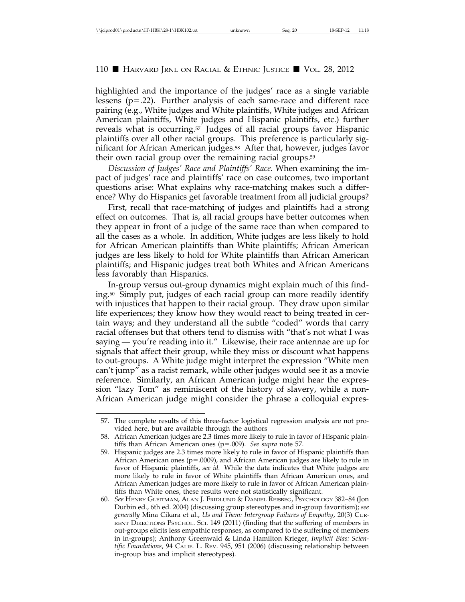highlighted and the importance of the judges' race as a single variable lessens  $(p=.22)$ . Further analysis of each same-race and different race pairing (e.g., White judges and White plaintiffs, White judges and African American plaintiffs, White judges and Hispanic plaintiffs, etc.) further reveals what is occurring.57 Judges of all racial groups favor Hispanic plaintiffs over all other racial groups. This preference is particularly significant for African American judges.58 After that, however, judges favor their own racial group over the remaining racial groups.59

*Discussion of Judges' Race and Plaintiffs' Race.* When examining the impact of judges' race and plaintiffs' race on case outcomes, two important questions arise: What explains why race-matching makes such a difference? Why do Hispanics get favorable treatment from all judicial groups?

First, recall that race-matching of judges and plaintiffs had a strong effect on outcomes. That is, all racial groups have better outcomes when they appear in front of a judge of the same race than when compared to all the cases as a whole. In addition, White judges are less likely to hold for African American plaintiffs than White plaintiffs; African American judges are less likely to hold for White plaintiffs than African American plaintiffs; and Hispanic judges treat both Whites and African Americans less favorably than Hispanics.

In-group versus out-group dynamics might explain much of this finding.60 Simply put, judges of each racial group can more readily identify with injustices that happen to their racial group. They draw upon similar life experiences; they know how they would react to being treated in certain ways; and they understand all the subtle "coded" words that carry racial offenses but that others tend to dismiss with "that's not what I was saying — you're reading into it." Likewise, their race antennae are up for signals that affect their group, while they miss or discount what happens to out-groups. A White judge might interpret the expression "White men can't jump" as a racist remark, while other judges would see it as a movie reference. Similarly, an African American judge might hear the expression "lazy Tom" as reminiscent of the history of slavery, while a non-African American judge might consider the phrase a colloquial expres-

<sup>57.</sup> The complete results of this three-factor logistical regression analysis are not provided here, but are available through the authors

<sup>58.</sup> African American judges are 2.3 times more likely to rule in favor of Hispanic plaintiffs than African American ones (p=.009). *See supra* note 57.

<sup>59.</sup> Hispanic judges are 2.3 times more likely to rule in favor of Hispanic plaintiffs than African American ones ( $p = .0009$ ), and African American judges are likely to rule in favor of Hispanic plaintiffs, *see id.* While the data indicates that White judges are more likely to rule in favor of White plaintiffs than African American ones, and African American judges are more likely to rule in favor of African American plaintiffs than White ones, these results were not statistically significant.

<sup>60.</sup> *See* HENRY GLEITMAN, ALAN J. FRIDLUND & DANIEL REISBEG, PSYCHOLOGY 382–84 (Jon Durbin ed., 6th ed. 2004) (discussing group stereotypes and in-group favoritism); *see generally* Mina Cikara et al., *Us and Them: Intergroup Failures of Empathy*, 20(3) CUR-RENT DIRECTIONS PSYCHOL. SCI. 149 (2011) (finding that the suffering of members in out-groups elicits less empathic responses, as compared to the suffering of members in in-groups); Anthony Greenwald & Linda Hamilton Krieger, *Implicit Bias: Scientific Foundations*, 94 CALIF. L. REV. 945, 951 (2006) (discussing relationship between in-group bias and implicit stereotypes).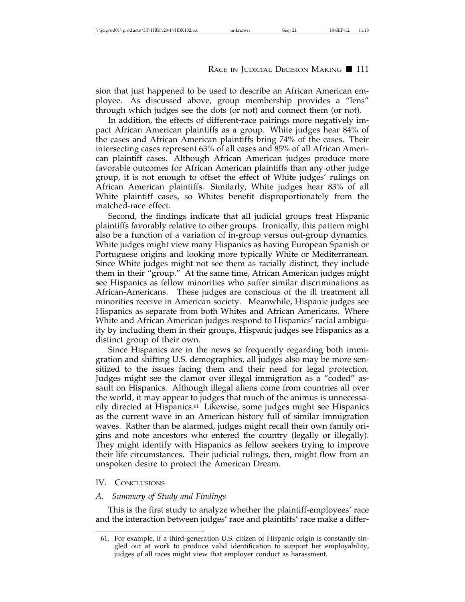sion that just happened to be used to describe an African American employee. As discussed above, group membership provides a "lens" through which judges see the dots (or not) and connect them (or not).

In addition, the effects of different-race pairings more negatively impact African American plaintiffs as a group. White judges hear 84% of the cases and African American plaintiffs bring 74% of the cases. Their intersecting cases represent 63% of all cases and 85% of all African American plaintiff cases. Although African American judges produce more favorable outcomes for African American plaintiffs than any other judge group, it is not enough to offset the effect of White judges' rulings on African American plaintiffs. Similarly, White judges hear 83% of all White plaintiff cases, so Whites benefit disproportionately from the matched-race effect.

Second, the findings indicate that all judicial groups treat Hispanic plaintiffs favorably relative to other groups. Ironically, this pattern might also be a function of a variation of in-group versus out-group dynamics. White judges might view many Hispanics as having European Spanish or Portuguese origins and looking more typically White or Mediterranean. Since White judges might not see them as racially distinct, they include them in their "group." At the same time, African American judges might see Hispanics as fellow minorities who suffer similar discriminations as African-Americans. These judges are conscious of the ill treatment all minorities receive in American society. Meanwhile, Hispanic judges see Hispanics as separate from both Whites and African Americans. Where White and African American judges respond to Hispanics' racial ambiguity by including them in their groups, Hispanic judges see Hispanics as a distinct group of their own.

Since Hispanics are in the news so frequently regarding both immigration and shifting U.S. demographics, all judges also may be more sensitized to the issues facing them and their need for legal protection. Judges might see the clamor over illegal immigration as a "coded" assault on Hispanics. Although illegal aliens come from countries all over the world, it may appear to judges that much of the animus is unnecessarily directed at Hispanics.61 Likewise, some judges might see Hispanics as the current wave in an American history full of similar immigration waves. Rather than be alarmed, judges might recall their own family origins and note ancestors who entered the country (legally or illegally). They might identify with Hispanics as fellow seekers trying to improve their life circumstances. Their judicial rulings, then, might flow from an unspoken desire to protect the American Dream.

### IV. CONCLUSIONS

# *A. Summary of Study and Findings*

This is the first study to analyze whether the plaintiff-employees' race and the interaction between judges' race and plaintiffs' race make a differ-

<sup>61.</sup> For example, if a third-generation U.S. citizen of Hispanic origin is constantly singled out at work to produce valid identification to support her employability, judges of all races might view that employer conduct as harassment.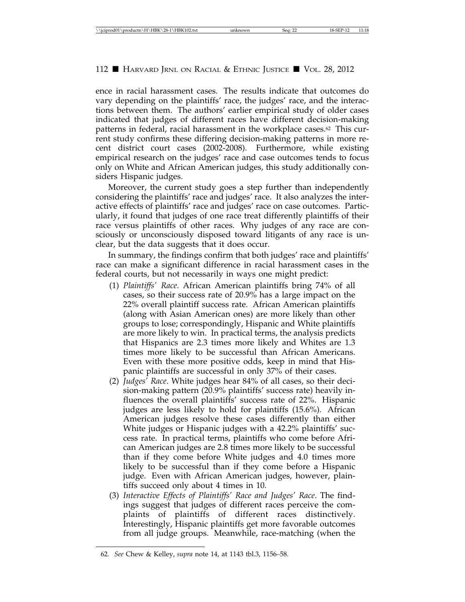ence in racial harassment cases. The results indicate that outcomes do vary depending on the plaintiffs' race, the judges' race, and the interactions between them. The authors' earlier empirical study of older cases indicated that judges of different races have different decision-making patterns in federal, racial harassment in the workplace cases.62 This current study confirms these differing decision-making patterns in more recent district court cases (2002-2008). Furthermore, while existing empirical research on the judges' race and case outcomes tends to focus only on White and African American judges, this study additionally considers Hispanic judges.

Moreover, the current study goes a step further than independently considering the plaintiffs' race and judges' race. It also analyzes the interactive effects of plaintiffs' race and judges' race on case outcomes. Particularly, it found that judges of one race treat differently plaintiffs of their race versus plaintiffs of other races. Why judges of any race are consciously or unconsciously disposed toward litigants of any race is unclear, but the data suggests that it does occur.

In summary, the findings confirm that both judges' race and plaintiffs' race can make a significant difference in racial harassment cases in the federal courts, but not necessarily in ways one might predict:

- (1) *Plaintiffs' Race*. African American plaintiffs bring 74% of all cases, so their success rate of 20.9% has a large impact on the 22% overall plaintiff success rate. African American plaintiffs (along with Asian American ones) are more likely than other groups to lose; correspondingly, Hispanic and White plaintiffs are more likely to win. In practical terms, the analysis predicts that Hispanics are 2.3 times more likely and Whites are 1.3 times more likely to be successful than African Americans. Even with these more positive odds, keep in mind that Hispanic plaintiffs are successful in only  $37\%$  of their cases.
- (2) *Judges' Race*. White judges hear 84% of all cases, so their decision-making pattern (20.9% plaintiffs' success rate) heavily influences the overall plaintiffs' success rate of 22%. Hispanic judges are less likely to hold for plaintiffs (15.6%). African American judges resolve these cases differently than either White judges or Hispanic judges with a 42.2% plaintiffs' success rate. In practical terms, plaintiffs who come before African American judges are 2.8 times more likely to be successful than if they come before White judges and 4.0 times more likely to be successful than if they come before a Hispanic judge. Even with African American judges, however, plaintiffs succeed only about 4 times in 10.
- (3) *Interactive Effects of Plaintiffs' Race and Judges' Race*. The findings suggest that judges of different races perceive the complaints of plaintiffs of different races distinctively. Interestingly, Hispanic plaintiffs get more favorable outcomes from all judge groups. Meanwhile, race-matching (when the

<sup>62.</sup> *See* Chew & Kelley, *supra* note 14, at 1143 tbl.3, 1156–58.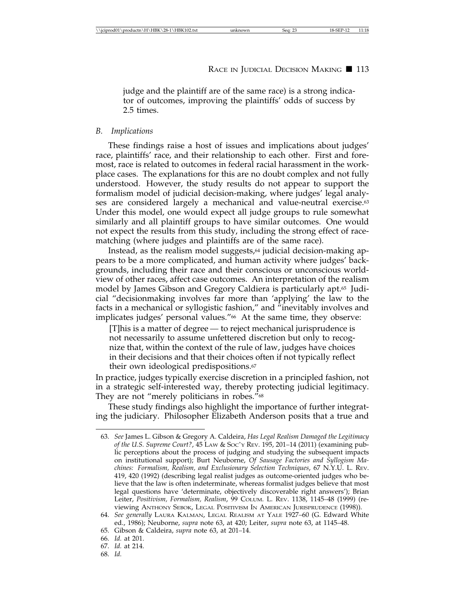judge and the plaintiff are of the same race) is a strong indicator of outcomes, improving the plaintiffs' odds of success by 2.5 times.

#### *B. Implications*

These findings raise a host of issues and implications about judges' race, plaintiffs' race, and their relationship to each other. First and foremost, race is related to outcomes in federal racial harassment in the workplace cases. The explanations for this are no doubt complex and not fully understood. However, the study results do not appear to support the formalism model of judicial decision-making, where judges' legal analyses are considered largely a mechanical and value-neutral exercise.<sup>63</sup> Under this model, one would expect all judge groups to rule somewhat similarly and all plaintiff groups to have similar outcomes. One would not expect the results from this study, including the strong effect of racematching (where judges and plaintiffs are of the same race).

Instead, as the realism model suggests,<sup>64</sup> judicial decision-making appears to be a more complicated, and human activity where judges' backgrounds, including their race and their conscious or unconscious worldview of other races, affect case outcomes. An interpretation of the realism model by James Gibson and Gregory Caldiera is particularly apt.65 Judicial "decisionmaking involves far more than 'applying' the law to the facts in a mechanical or syllogistic fashion," and "inevitably involves and implicates judges' personal values."66 At the same time, they observe:

[T]his is a matter of degree — to reject mechanical jurisprudence is not necessarily to assume unfettered discretion but only to recognize that, within the context of the rule of law, judges have choices in their decisions and that their choices often if not typically reflect their own ideological predispositions.67

In practice, judges typically exercise discretion in a principled fashion, not in a strategic self-interested way, thereby protecting judicial legitimacy. They are not "merely politicians in robes."<sup>68</sup>

These study findings also highlight the importance of further integrating the judiciary. Philosopher Elizabeth Anderson posits that a true and

68. *Id.*

<sup>63.</sup> *See* James L. Gibson & Gregory A. Caldeira, *Has Legal Realism Damaged the Legitimacy of the U.S. Supreme Court?*, 45 LAW & SOC'Y REV. 195, 201–14 (2011) (examining public perceptions about the process of judging and studying the subsequent impacts on institutional support); Burt Neuborne, *Of Sausage Factories and Syllogism Machines: Formalism, Realism, and Exclusionary Selection Techniques*, 67 N.Y.U. L. REV. 419, 420 (1992) (describing legal realist judges as outcome-oriented judges who believe that the law is often indeterminate, whereas formalist judges believe that most legal questions have 'determinate, objectively discoverable right answers'); Brian Leiter, *Positivism, Formalism, Realism*, 99 COLUM. L. REV. 1138, 1145–48 (1999) (reviewing ANTHONY SEBOK, LEGAL POSITIVISM IN AMERICAN JURISPRUDENCE (1998)).

<sup>64.</sup> *See generally* LAURA KALMAN, LEGAL REALISM AT YALE 1927–60 (G. Edward White ed., 1986); Neuborne, *supra* note 63, at 420; Leiter, *supra* note 63, at 1145–48.

<sup>65.</sup> Gibson & Caldeira, *supra* note 63, at 201–14.

<sup>66.</sup> *Id.* at 201.

<sup>67.</sup> *Id.* at 214.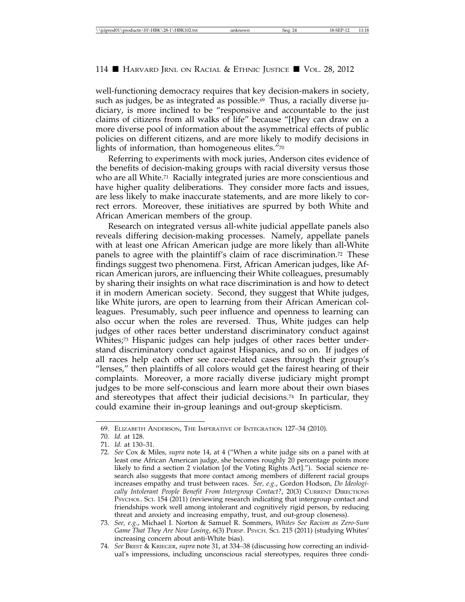well-functioning democracy requires that key decision-makers in society, such as judges, be as integrated as possible.<sup>69</sup> Thus, a racially diverse judiciary, is more inclined to be "responsive and accountable to the just claims of citizens from all walks of life" because "[t]hey can draw on a more diverse pool of information about the asymmetrical effects of public policies on different citizens, and are more likely to modify decisions in lights of information, than homogeneous elites. $"^{\tau_{0}}$ 

Referring to experiments with mock juries, Anderson cites evidence of the benefits of decision-making groups with racial diversity versus those who are all White.<sup>71</sup> Racially integrated juries are more conscientious and have higher quality deliberations. They consider more facts and issues, are less likely to make inaccurate statements, and are more likely to correct errors. Moreover, these initiatives are spurred by both White and African American members of the group.

Research on integrated versus all-white judicial appellate panels also reveals differing decision-making processes. Namely, appellate panels with at least one African American judge are more likely than all-White panels to agree with the plaintiff's claim of race discrimination.72 These findings suggest two phenomena. First, African American judges, like African American jurors, are influencing their White colleagues, presumably by sharing their insights on what race discrimination is and how to detect it in modern American society. Second, they suggest that White judges, like White jurors, are open to learning from their African American colleagues. Presumably, such peer influence and openness to learning can also occur when the roles are reversed. Thus, White judges can help judges of other races better understand discriminatory conduct against Whites;73 Hispanic judges can help judges of other races better understand discriminatory conduct against Hispanics, and so on. If judges of all races help each other see race-related cases through their group's "lenses," then plaintiffs of all colors would get the fairest hearing of their complaints. Moreover, a more racially diverse judiciary might prompt judges to be more self-conscious and learn more about their own biases and stereotypes that affect their judicial decisions.74 In particular, they could examine their in-group leanings and out-group skepticism.

<sup>69.</sup> ELIZABETH ANDERSON, THE IMPERATIVE OF INTEGRATION 127–34 (2010).

<sup>70.</sup> *Id.* at 128.

<sup>71.</sup> *Id.* at 130–31.

<sup>72.</sup> *See* Cox & Miles, *supra* note 14, at 4 ("When a white judge sits on a panel with at least one African American judge, she becomes roughly 20 percentage points more likely to find a section 2 violation [of the Voting Rights Act]."). Social science research also suggests that more contact among members of different racial groups increases empathy and trust between races. *See, e.g*., Gordon Hodson, *Do Ideologically Intolerant People Benefit From Intergroup Contact?*, 20(3) CURRENT DIRECTIONS PSYCHOL. SCI. 154 (2011) (reviewing research indicating that intergroup contact and friendships work well among intolerant and cognitively rigid person, by reducing threat and anxiety and increasing empathy, trust, and out-group closeness).

<sup>73.</sup> *See, e.g.*, Michael I. Norton & Samuel R. Sommers, *Whites See Racism as Zero-Sum Game That They Are Now Losing*, 6(3) PERSP. PSYCH. SCI. 215 (2011) (studying Whites' increasing concern about anti-White bias).

<sup>74.</sup> *See* BREST & KRIEGER, *supra* note 31, at 334–38 (discussing how correcting an individual's impressions, including unconscious racial stereotypes, requires three condi-